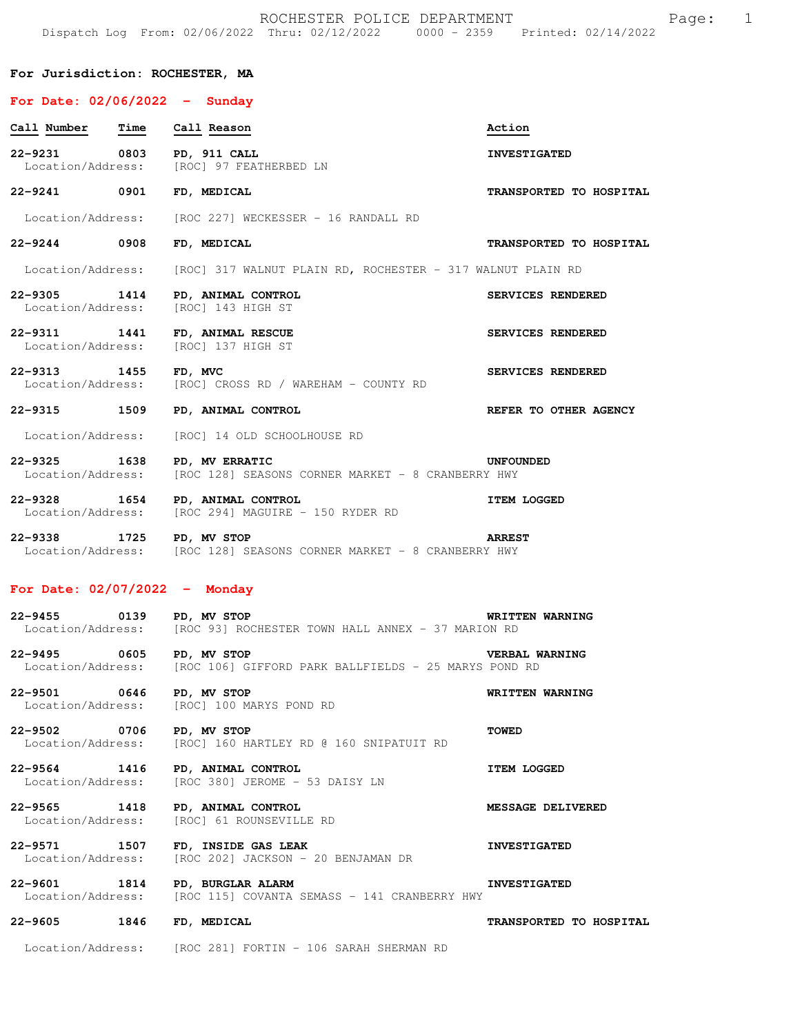## **For Jurisdiction: ROCHESTER, MA**

## **For Date: 02/06/2022 - Sunday Call Number Time Call Reason Action** and Action **22-9231 0803 PD, 911 CALL INVESTIGATED**  Location/Address: [ROC] 97 FEATHERBED LN **22-9241 0901 FD, MEDICAL TRANSPORTED TO HOSPITAL**  Location/Address: [ROC 227] WECKESSER - 16 RANDALL RD **22-9244 0908 FD, MEDICAL TRANSPORTED TO HOSPITAL**  Location/Address: [ROC] 317 WALNUT PLAIN RD, ROCHESTER - 317 WALNUT PLAIN RD **22-9305 1414 PD, ANIMAL CONTROL SERVICES RENDERED**<br>
Location/Address: [ROC] 143 HIGH ST [ROC] 143 HIGH ST **22-9311 1441 FD, ANIMAL RESCUE SERVICES RENDERED**  Location/Address: [ROC] 137 HIGH ST **22-9313 1455 FD, MVC SERVICES RENDERED**  Location/Address: [ROC] CROSS RD / WAREHAM - COUNTY RD **22-9315 1509 PD, ANIMAL CONTROL REFER TO OTHER AGENCY**  Location/Address: [ROC] 14 OLD SCHOOLHOUSE RD **22-9325 1638 PD, MV ERRATIC UNFOUNDED**  Location/Address: [ROC 128] SEASONS CORNER MARKET - 8 CRANBERRY HWY **22-9328 1654 PD, ANIMAL CONTROL ITEM LOGGED**  Location/Address: [ROC 294] MAGUIRE - 150 RYDER RD **22-9338 1725 PD, MV STOP ARREST**  Location/Address: [ROC 128] SEASONS CORNER MARKET - 8 CRANBERRY HWY **For Date: 02/07/2022 - Monday 22-9455 0139 PD, MV STOP WRITTEN WARNING**  Location/Address: [ROC 93] ROCHESTER TOWN HALL ANNEX - 37 MARION RD **22-9495 0605 PD, MV STOP VERBAL WARNING**  Location/Address: [ROC 106] GIFFORD PARK BALLFIELDS - 25 MARYS POND RD **22-9501 0646 PD, MV STOP WRITTEN WARNING**  Location/Address: [ROC] 100 MARYS POND RD **22-9502 0706 PD, MV STOP TOWED**  Location/Address: [ROC] 160 HARTLEY RD @ 160 SNIPATUIT RD **22-9564 1416 PD, ANIMAL CONTROL ITEM LOGGED**  Location/Address: [ROC 380] JEROME - 53 DAISY LN **22-9565 1418 PD, ANIMAL CONTROL MESSAGE DELIVERED**<br>
Location/Address: [ROC] 61 ROUNSEVILLE RD [ROC] 61 ROUNSEVILLE RD **22-9571 1507 FD, INSIDE GAS LEAK INVESTIGATED**<br>Location/Address: [ROC 202] JACKSON - 20 BENJAMAN DR [ROC 202] JACKSON - 20 BENJAMAN DR **22-9601 1814 PD, BURGLAR ALARM INVESTIGATED**<br>Location/Address: [ROC 115] COVANTA SEMASS - 141 CRANBERRY HWY [ROC 115] COVANTA SEMASS - 141 CRANBERRY HWY **22-9605 1846 FD, MEDICAL TRANSPORTED TO HOSPITAL**

Location/Address: [ROC 281] FORTIN - 106 SARAH SHERMAN RD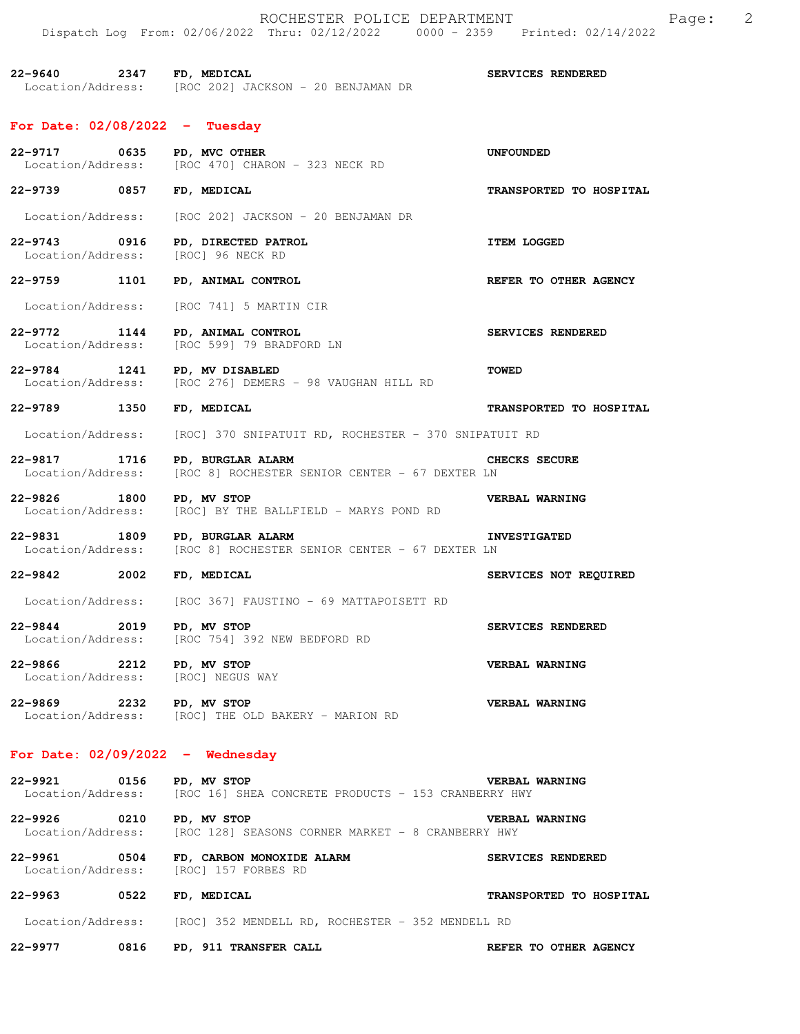|                                   |      | ROCHESTER POLICE DEPARTMENT<br>Dispatch Log From: 02/06/2022 Thru: 02/12/2022 0000 - 2359 Printed: 02/14/2022 |                         | Page: | $\overline{\phantom{0}}^2$ |
|-----------------------------------|------|---------------------------------------------------------------------------------------------------------------|-------------------------|-------|----------------------------|
| 22-9640 2347 FD, MEDICAL          |      | Location/Address: [ROC 202] JACKSON - 20 BENJAMAN DR                                                          | SERVICES RENDERED       |       |                            |
| For Date: 02/08/2022 - Tuesday    |      |                                                                                                               |                         |       |                            |
|                                   |      | 22-9717 0635 PD, MVC OTHER<br>Location/Address: [ROC 470] CHARON - 323 NECK RD                                | <b>UNFOUNDED</b>        |       |                            |
| 22-9739 0857                      |      | FD, MEDICAL                                                                                                   | TRANSPORTED TO HOSPITAL |       |                            |
| Location/Address:                 |      | [ROC 202] JACKSON - 20 BENJAMAN DR                                                                            |                         |       |                            |
| 22-9743 0916<br>Location/Address: |      | PD, DIRECTED PATROL<br>[ROC] 96 NECK RD                                                                       | <b>ITEM LOGGED</b>      |       |                            |
| 22-9759 1101                      |      | PD, ANIMAL CONTROL                                                                                            | REFER TO OTHER AGENCY   |       |                            |
| Location/Address:                 |      | [ROC 741] 5 MARTIN CIR                                                                                        |                         |       |                            |
| 22-9772 1144<br>Location/Address: |      | PD, ANIMAL CONTROL<br>[ROC 599] 79 BRADFORD LN                                                                | SERVICES RENDERED       |       |                            |
|                                   |      | 22-9784 1241 PD, MV DISABLED<br>Location/Address: [ROC 276] DEMERS - 98 VAUGHAN HILL RD                       | <b>TOWED</b>            |       |                            |
| 22-9789 1350                      |      | FD, MEDICAL                                                                                                   | TRANSPORTED TO HOSPITAL |       |                            |
| Location/Address:                 |      | [ROC] 370 SNIPATUIT RD, ROCHESTER - 370 SNIPATUIT RD                                                          |                         |       |                            |
| 22-9817<br>Location/Address:      | 1716 | PD, BURGLAR ALARM<br>[ROC 8] ROCHESTER SENIOR CENTER - 67 DEXTER LN                                           | CHECKS SECURE           |       |                            |
| 22-9826 1800<br>Location/Address: |      | PD, MV STOP<br>[ROC] BY THE BALLFIELD - MARYS POND RD                                                         | VERBAL WARNING          |       |                            |
| 22-9831                           |      | 1809 PD, BURGLAR ALARM<br>Location/Address: [ROC 8] ROCHESTER SENIOR CENTER - 67 DEXTER LN                    | <b>INVESTIGATED</b>     |       |                            |
| 22-9842                           | 2002 | FD. MEDICAL                                                                                                   | SERVICES NOT REQUIRED   |       |                            |
|                                   |      | Location/Address: [ROC 367] FAUSTINO - 69 MATTAPOISETT RD                                                     |                         |       |                            |
| 22-9844 2019 PD, MV STOP          |      | Location/Address: [ROC 754] 392 NEW BEDFORD RD                                                                | SERVICES RENDERED       |       |                            |
| 22-9866 2212 PD, MV STOP          |      | Location/Address: [ROC] NEGUS WAY                                                                             | VERBAL WARNING          |       |                            |
| 22-9869 2232 PD, MV STOP          |      | Location/Address: [ROC] THE OLD BAKERY - MARION RD                                                            | <b>VERBAL WARNING</b>   |       |                            |
|                                   |      | For Date: $02/09/2022 -$ Wednesday                                                                            |                         |       |                            |
| 22-9921 0156 PD, MV STOP          |      | Location/Address: [ROC 16] SHEA CONCRETE PRODUCTS - 153 CRANBERRY HWY                                         | <b>VERBAL WARNING</b>   |       |                            |
| 22-9926 0210 PD, MV STOP          |      | Location/Address: [ROC 128] SEASONS CORNER MARKET - 8 CRANBERRY HWY                                           | <b>VERBAL WARNING</b>   |       |                            |
|                                   |      | 22-9961 0504 FD, CARBON MONOXIDE ALARM<br>Location/Address: [ROC] 157 FORBES RD                               | SERVICES RENDERED       |       |                            |
| 22-9963 0522                      |      | FD, MEDICAL                                                                                                   | TRANSPORTED TO HOSPITAL |       |                            |
|                                   |      | Location/Address: [ROC] 352 MENDELL RD, ROCHESTER - 352 MENDELL RD                                            |                         |       |                            |
| 22-9977 0816                      |      | PD, 911 TRANSFER CALL                                                                                         | REFER TO OTHER AGENCY   |       |                            |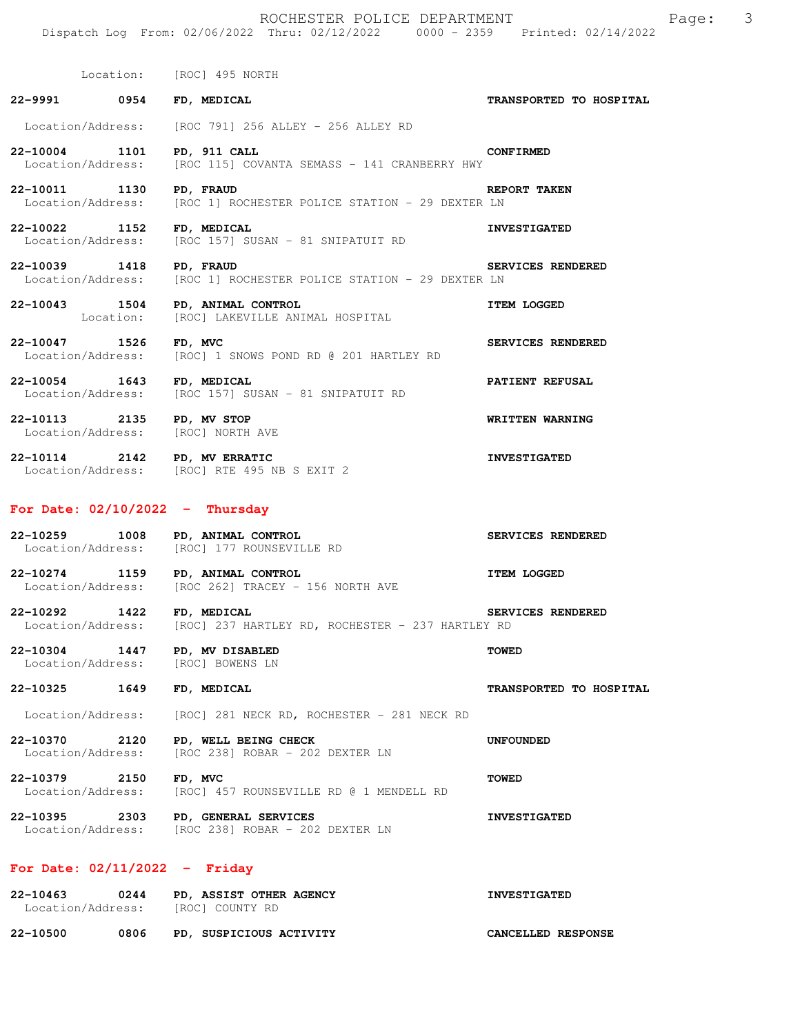|                           | Location: [ROC] 495 NORTH                                                                    |                          |
|---------------------------|----------------------------------------------------------------------------------------------|--------------------------|
|                           | 22-9991 0954 FD, MEDICAL                                                                     | TRANSPORTED TO HOSPITAL  |
|                           | Location/Address: [ROC 791] 256 ALLEY - 256 ALLEY RD                                         |                          |
|                           | 22-10004 1101 PD, 911 CALL<br>Location/Address: [ROC 115] COVANTA SEMASS - 141 CRANBERRY HWY | <b>CONFIRMED</b>         |
| 22-10011 1130 PD, FRAUD   | Location/Address: [ROC 1] ROCHESTER POLICE STATION - 29 DEXTER LN                            | REPORT TAKEN             |
|                           | 22-10022 1152 FD, MEDICAL<br>Location/Address: [ROC 157] SUSAN - 81 SNIPATUIT RD             | <b>INVESTIGATED</b>      |
| 22-10039 1418 PD, FRAUD   | Location/Address: [ROC 1] ROCHESTER POLICE STATION - 29 DEXTER LN                            | <b>SERVICES RENDERED</b> |
|                           | 22-10043 1504 PD, ANIMAL CONTROL<br>Location: [ROC] LAKEVILLE ANIMAL HOSPITAL                | <b>ITEM LOGGED</b>       |
| 22-10047 1526 FD, MVC     | Location/Address: [ROC] 1 SNOWS POND RD @ 201 HARTLEY RD                                     | SERVICES RENDERED        |
| 22-10054 1643 FD, MEDICAL | Location/Address: [ROC 157] SUSAN - 81 SNIPATUIT RD                                          | PATIENT REFUSAL          |
|                           | 22-10113 2135 PD, MV STOP<br>Location/Address: [ROC] NORTH AVE                               | <b>WRITTEN WARNING</b>   |
|                           | 22-10114 2142 PD, MV ERRATIC<br>Location/Address: [ROC] RTE 495 NB S EXIT 2                  | <b>INVESTIGATED</b>      |
|                           | For Date: $02/10/2022 -$ Thursday                                                            |                          |
|                           | 22-10259 1008 PD, ANIMAL CONTROL<br>Location/Address: [ROC] 177 ROUNSEVILLE RD               | SERVICES RENDERED        |
|                           | 22-10274 1159 PD, ANIMAL CONTROL<br>Location/Address: [ROC 262] TRACEY - 156 NORTH AVE       | <b>ITEM LOGGED</b>       |
| 22-10292 1422 FD, MEDICAL | Location/Address: [ROC] 237 HARTLEY RD, ROCHESTER - 237 HARTLEY RD                           | SERVICES RENDERED        |

**22-10304 1447 PD, MV DISABLED TOWED**  Location/Address: [ROC] BOWENS LN

## **22-10325 1649 FD, MEDICAL TRANSPORTED TO HOSPITAL**

Location/Address: [ROC] 281 NECK RD, ROCHESTER - 281 NECK RD

**22-10370 2120 PD, WELL BEING CHECK UNFOUNDED**  Location/Address: [ROC 238] ROBAR - 202 DEXTER LN

**22-10379 2150 FD, MVC TOWED**  Location/Address: [ROC] 457 ROUNSEVILLE RD @ 1 MENDELL RD

**22-10395 2303 PD, GENERAL SERVICES INVESTIGATED**  Location/Address: [ROC 238] ROBAR - 202 DEXTER LN

## **For Date: 02/11/2022 - Friday**

| $22 - 10463$<br>Location/Address: | 0244 | PD, ASSIST OTHER AGENCY<br>[ROC] COUNTY RD | <b>INVESTIGATED</b> |
|-----------------------------------|------|--------------------------------------------|---------------------|
| 22-10500                          | 0806 | PD, SUSPICIOUS ACTIVITY                    | CANCELLED RESPONSE  |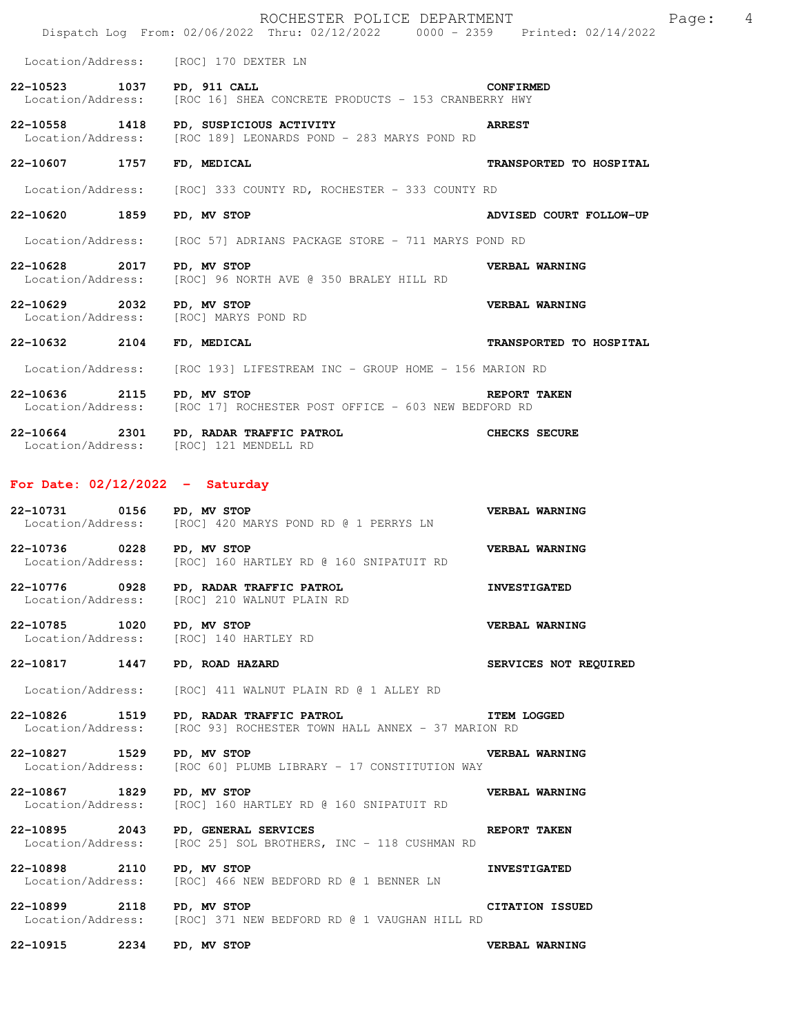| ROCHESTER POLICE DEPARTMENT<br>Page:<br>Dispatch Log From: 02/06/2022 Thru: 02/12/2022 0000 - 2359 Printed: 02/14/2022 |  |                                                                                                     |                         |  |
|------------------------------------------------------------------------------------------------------------------------|--|-----------------------------------------------------------------------------------------------------|-------------------------|--|
|                                                                                                                        |  | Location/Address: [ROC] 170 DEXTER LN                                                               |                         |  |
| 22-10523 1037                                                                                                          |  | PD, 911 CALL<br>Location/Address: [ROC 16] SHEA CONCRETE PRODUCTS - 153 CRANBERRY HWY               | <b>CONFIRMED</b>        |  |
| 22-10558 1418                                                                                                          |  | PD, SUSPICIOUS ACTIVITY<br>Location/Address: [ROC 189] LEONARDS POND - 283 MARYS POND RD            | <b>ARREST</b>           |  |
| 22-10607 1757                                                                                                          |  | FD, MEDICAL                                                                                         | TRANSPORTED TO HOSPITAL |  |
|                                                                                                                        |  | Location/Address: [ROC] 333 COUNTY RD, ROCHESTER - 333 COUNTY RD                                    |                         |  |
| 22-10620 1859                                                                                                          |  | PD, MV STOP                                                                                         | ADVISED COURT FOLLOW-UP |  |
| Location/Address:                                                                                                      |  | [ROC 57] ADRIANS PACKAGE STORE - 711 MARYS POND RD                                                  |                         |  |
| 22-10628 2017 PD, MV STOP                                                                                              |  | Location/Address: [ROC] 96 NORTH AVE @ 350 BRALEY HILL RD                                           | VERBAL WARNING          |  |
| 22-10629 2032<br>Location/Address:                                                                                     |  | PD, MV STOP<br>[ROC] MARYS POND RD                                                                  | <b>VERBAL WARNING</b>   |  |
| 22-10632 2104                                                                                                          |  | FD, MEDICAL                                                                                         | TRANSPORTED TO HOSPITAL |  |
|                                                                                                                        |  | Location/Address: [ROC 193] LIFESTREAM INC - GROUP HOME - 156 MARION RD                             |                         |  |
| 22-10636 2115 PD, MV STOP                                                                                              |  | Location/Address: [ROC 17] ROCHESTER POST OFFICE - 603 NEW BEDFORD RD                               | <b>REPORT TAKEN</b>     |  |
|                                                                                                                        |  | 22-10664 2301 PD, RADAR TRAFFIC PATROL<br>Location/Address: [ROC] 121 MENDELL RD                    | <b>CHECKS SECURE</b>    |  |
| For Date: $02/12/2022 -$ Saturday                                                                                      |  |                                                                                                     |                         |  |
| 22-10731 0156 PD, MV STOP                                                                                              |  | Location/Address: [ROC] 420 MARYS POND RD @ 1 PERRYS LN                                             | VERBAL WARNING          |  |
| 22-10736 0228                                                                                                          |  | PD, MV STOP<br>Location/Address: [ROC] 160 HARTLEY RD @ 160 SNIPATUIT RD                            | VERBAL WARNING          |  |
| 22-10776 0928                                                                                                          |  | PD, RADAR TRAFFIC PATROL<br>Location/Address: [ROC] 210 WALNUT PLAIN RD                             | <b>INVESTIGATED</b>     |  |
| 22-10785 1020                                                                                                          |  | PD, MV STOP<br>Location/Address: [ROC] 140 HARTLEY RD                                               | VERBAL WARNING          |  |
| 22-10817 1447                                                                                                          |  | PD, ROAD HAZARD                                                                                     | SERVICES NOT REQUIRED   |  |
| Location/Address:                                                                                                      |  | [ROC] 411 WALNUT PLAIN RD @ 1 ALLEY RD                                                              |                         |  |
| 22-10826 1519<br>Location/Address:                                                                                     |  | <b>ITEM LOGGED</b><br>PD, RADAR TRAFFIC PATROL<br>[ROC 93] ROCHESTER TOWN HALL ANNEX - 37 MARION RD |                         |  |
| 22-10827 1529<br>Location/Address:                                                                                     |  | PD, MV STOP<br>[ROC 60] PLUMB LIBRARY - 17 CONSTITUTION WAY                                         | VERBAL WARNING          |  |
| 22-10867 1829<br>Location/Address:                                                                                     |  | PD, MV STOP<br>[ROC] 160 HARTLEY RD @ 160 SNIPATUIT RD                                              | VERBAL WARNING          |  |
| 22-10895 2043<br>Location/Address:                                                                                     |  | PD, GENERAL SERVICES<br>[ROC 25] SOL BROTHERS, INC - 118 CUSHMAN RD                                 | <b>REPORT TAKEN</b>     |  |
| 22-10898 2110<br>Location/Address:                                                                                     |  | PD, MV STOP<br>[ROC] 466 NEW BEDFORD RD @ 1 BENNER LN                                               | <b>INVESTIGATED</b>     |  |
| 22-10899 2118                                                                                                          |  | PD, MV STOP<br>Location/Address: [ROC] 371 NEW BEDFORD RD @ 1 VAUGHAN HILL RD                       | CITATION ISSUED         |  |
| 22-10915 2234 PD, MV STOP                                                                                              |  |                                                                                                     | VERBAL WARNING          |  |